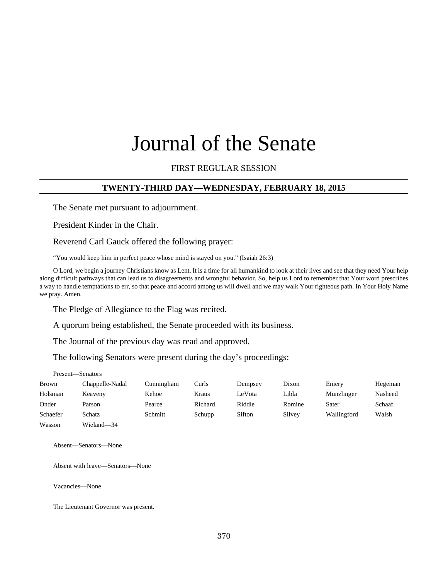# Journal of the Senate

### FIRST REGULAR SESSION

### **TWENTY-THIRD DAY—WEDNESDAY, FEBRUARY 18, 2015**

The Senate met pursuant to adjournment.

President Kinder in the Chair.

Reverend Carl Gauck offered the following prayer:

"You would keep him in perfect peace whose mind is stayed on you." (Isaiah 26:3)

O Lord, we begin a journey Christians know as Lent. It is a time for all humankind to look at their lives and see that they need Your help along difficult pathways that can lead us to disagreements and wrongful behavior. So, help us Lord to remember that Your word prescribes a way to handle temptations to err, so that peace and accord among us will dwell and we may walk Your righteous path. In Your Holy Name we pray. Amen.

The Pledge of Allegiance to the Flag was recited.

A quorum being established, the Senate proceeded with its business.

The Journal of the previous day was read and approved.

The following Senators were present during the day's proceedings:

Present—Senators

| Brown    | Chappelle-Nadal | Cunningham | Curls   | Dempsey | Dixon  | Emery       | Hegeman |
|----------|-----------------|------------|---------|---------|--------|-------------|---------|
| Holsman  | Keaveny         | Kehoe      | Kraus   | LeVota  | Libla  | Munzlinger  | Nasheed |
| Onder    | Parson          | Pearce     | Richard | Riddle  | Romine | Sater       | Schaaf  |
| Schaefer | Schatz          | Schmitt    | Schupp  | Sifton  | Silvey | Wallingford | Walsh   |
| Wasson   | Wieland-34      |            |         |         |        |             |         |

Absent—Senators—None

Absent with leave—Senators—None

Vacancies—None

The Lieutenant Governor was present.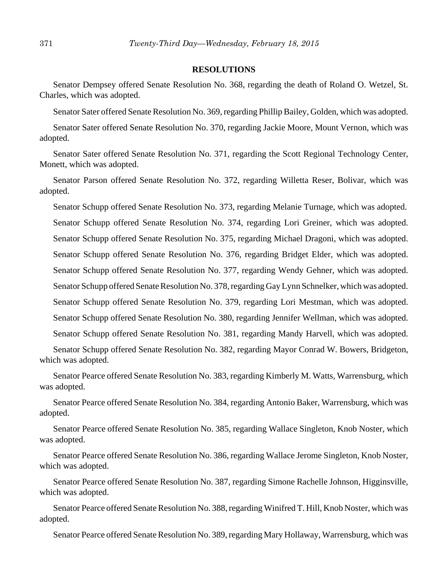#### **RESOLUTIONS**

Senator Dempsey offered Senate Resolution No. 368, regarding the death of Roland O. Wetzel, St. Charles, which was adopted.

Senator Sater offered Senate Resolution No. 369, regarding Phillip Bailey, Golden, which was adopted.

Senator Sater offered Senate Resolution No. 370, regarding Jackie Moore, Mount Vernon, which was adopted.

Senator Sater offered Senate Resolution No. 371, regarding the Scott Regional Technology Center, Monett, which was adopted.

Senator Parson offered Senate Resolution No. 372, regarding Willetta Reser, Bolivar, which was adopted.

Senator Schupp offered Senate Resolution No. 373, regarding Melanie Turnage, which was adopted. Senator Schupp offered Senate Resolution No. 374, regarding Lori Greiner, which was adopted. Senator Schupp offered Senate Resolution No. 375, regarding Michael Dragoni, which was adopted. Senator Schupp offered Senate Resolution No. 376, regarding Bridget Elder, which was adopted. Senator Schupp offered Senate Resolution No. 377, regarding Wendy Gehner, which was adopted. Senator Schupp offered Senate Resolution No. 378, regarding Gay Lynn Schnelker, which was adopted. Senator Schupp offered Senate Resolution No. 379, regarding Lori Mestman, which was adopted. Senator Schupp offered Senate Resolution No. 380, regarding Jennifer Wellman, which was adopted. Senator Schupp offered Senate Resolution No. 381, regarding Mandy Harvell, which was adopted.

Senator Schupp offered Senate Resolution No. 382, regarding Mayor Conrad W. Bowers, Bridgeton, which was adopted.

Senator Pearce offered Senate Resolution No. 383, regarding Kimberly M. Watts, Warrensburg, which was adopted.

Senator Pearce offered Senate Resolution No. 384, regarding Antonio Baker, Warrensburg, which was adopted.

Senator Pearce offered Senate Resolution No. 385, regarding Wallace Singleton, Knob Noster, which was adopted.

Senator Pearce offered Senate Resolution No. 386, regarding Wallace Jerome Singleton, Knob Noster, which was adopted.

Senator Pearce offered Senate Resolution No. 387, regarding Simone Rachelle Johnson, Higginsville, which was adopted.

Senator Pearce offered Senate Resolution No. 388, regarding Winifred T. Hill, Knob Noster, which was adopted.

Senator Pearce offered Senate Resolution No. 389, regarding Mary Hollaway, Warrensburg, which was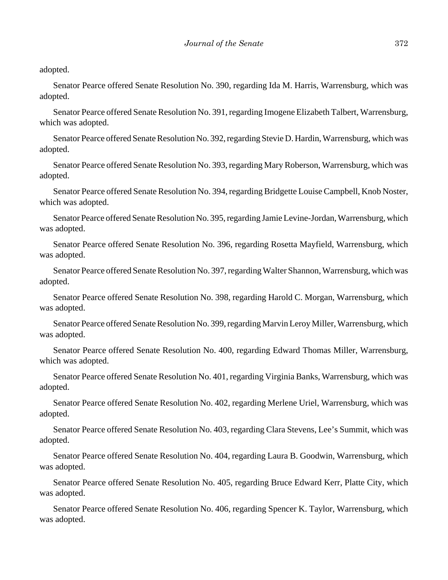adopted.

Senator Pearce offered Senate Resolution No. 390, regarding Ida M. Harris, Warrensburg, which was adopted.

Senator Pearce offered Senate Resolution No. 391, regarding Imogene Elizabeth Talbert, Warrensburg, which was adopted.

Senator Pearce offered Senate Resolution No. 392, regarding Stevie D. Hardin, Warrensburg, which was adopted.

Senator Pearce offered Senate Resolution No. 393, regarding Mary Roberson, Warrensburg, which was adopted.

Senator Pearce offered Senate Resolution No. 394, regarding Bridgette Louise Campbell, Knob Noster, which was adopted.

Senator Pearce offered Senate Resolution No. 395, regarding Jamie Levine-Jordan, Warrensburg, which was adopted.

Senator Pearce offered Senate Resolution No. 396, regarding Rosetta Mayfield, Warrensburg, which was adopted.

Senator Pearce offered Senate Resolution No. 397, regarding Walter Shannon, Warrensburg, which was adopted.

Senator Pearce offered Senate Resolution No. 398, regarding Harold C. Morgan, Warrensburg, which was adopted.

Senator Pearce offered Senate Resolution No. 399, regarding Marvin Leroy Miller, Warrensburg, which was adopted.

Senator Pearce offered Senate Resolution No. 400, regarding Edward Thomas Miller, Warrensburg, which was adopted.

Senator Pearce offered Senate Resolution No. 401, regarding Virginia Banks, Warrensburg, which was adopted.

Senator Pearce offered Senate Resolution No. 402, regarding Merlene Uriel, Warrensburg, which was adopted.

Senator Pearce offered Senate Resolution No. 403, regarding Clara Stevens, Lee's Summit, which was adopted.

Senator Pearce offered Senate Resolution No. 404, regarding Laura B. Goodwin, Warrensburg, which was adopted.

Senator Pearce offered Senate Resolution No. 405, regarding Bruce Edward Kerr, Platte City, which was adopted.

Senator Pearce offered Senate Resolution No. 406, regarding Spencer K. Taylor, Warrensburg, which was adopted.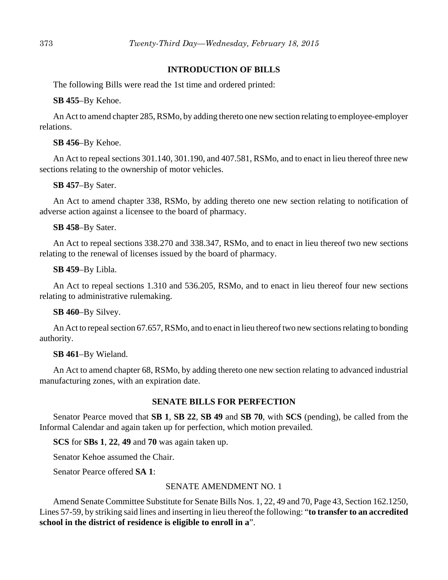# **INTRODUCTION OF BILLS**

The following Bills were read the 1st time and ordered printed:

#### **SB 455**–By Kehoe.

An Act to amend chapter 285, RSMo, by adding thereto one new section relating to employee-employer relations.

### **SB 456**–By Kehoe.

An Act to repeal sections 301.140, 301.190, and 407.581, RSMo, and to enact in lieu thereof three new sections relating to the ownership of motor vehicles.

### **SB 457**–By Sater.

An Act to amend chapter 338, RSMo, by adding thereto one new section relating to notification of adverse action against a licensee to the board of pharmacy.

### **SB 458**–By Sater.

An Act to repeal sections 338.270 and 338.347, RSMo, and to enact in lieu thereof two new sections relating to the renewal of licenses issued by the board of pharmacy.

#### **SB 459**–By Libla.

An Act to repeal sections 1.310 and 536.205, RSMo, and to enact in lieu thereof four new sections relating to administrative rulemaking.

# **SB 460**–By Silvey.

An Act to repeal section 67.657, RSMo, and to enact in lieu thereof two new sections relating to bonding authority.

#### **SB 461**–By Wieland.

An Act to amend chapter 68, RSMo, by adding thereto one new section relating to advanced industrial manufacturing zones, with an expiration date.

# **SENATE BILLS FOR PERFECTION**

Senator Pearce moved that **SB 1**, **SB 22**, **SB 49** and **SB 70**, with **SCS** (pending), be called from the Informal Calendar and again taken up for perfection, which motion prevailed.

**SCS** for **SBs 1**, **22**, **49** and **70** was again taken up.

Senator Kehoe assumed the Chair.

Senator Pearce offered **SA 1**:

# SENATE AMENDMENT NO. 1

Amend Senate Committee Substitute for Senate Bills Nos. 1, 22, 49 and 70, Page 43, Section 162.1250, Lines 57-59, by striking said lines and inserting in lieu thereof the following: "**to transfer to an accredited school in the district of residence is eligible to enroll in a**".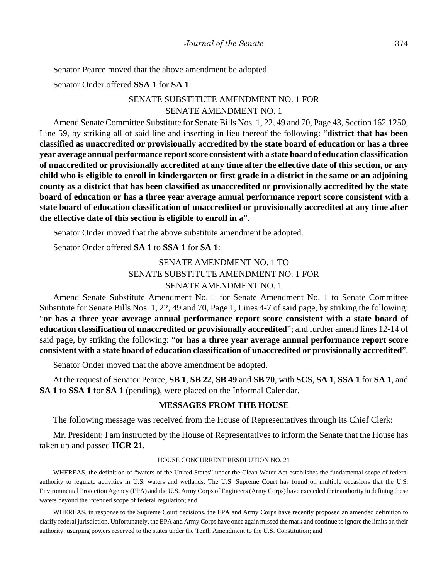Senator Pearce moved that the above amendment be adopted.

Senator Onder offered **SSA 1** for **SA 1**:

# SENATE SUBSTITUTE AMENDMENT NO. 1 FOR SENATE AMENDMENT NO. 1

Amend Senate Committee Substitute for Senate Bills Nos. 1, 22, 49 and 70, Page 43, Section 162.1250, Line 59, by striking all of said line and inserting in lieu thereof the following: "**district that has been classified as unaccredited or provisionally accredited by the state board of education or has a three year average annual performance report score consistent with a state board of education classification of unaccredited or provisionally accredited at any time after the effective date of this section, or any child who is eligible to enroll in kindergarten or first grade in a district in the same or an adjoining county as a district that has been classified as unaccredited or provisionally accredited by the state board of education or has a three year average annual performance report score consistent with a state board of education classification of unaccredited or provisionally accredited at any time after the effective date of this section is eligible to enroll in a**".

Senator Onder moved that the above substitute amendment be adopted.

Senator Onder offered **SA 1** to **SSA 1** for **SA 1**:

# SENATE AMENDMENT NO. 1 TO SENATE SUBSTITUTE AMENDMENT NO. 1 FOR SENATE AMENDMENT NO. 1

Amend Senate Substitute Amendment No. 1 for Senate Amendment No. 1 to Senate Committee Substitute for Senate Bills Nos. 1, 22, 49 and 70, Page 1, Lines 4-7 of said page, by striking the following: "**or has a three year average annual performance report score consistent with a state board of education classification of unaccredited or provisionally accredited**"; and further amend lines 12-14 of said page, by striking the following: "**or has a three year average annual performance report score consistent with a state board of education classification of unaccredited or provisionally accredited**".

Senator Onder moved that the above amendment be adopted.

At the request of Senator Pearce, **SB 1**, **SB 22**, **SB 49** and **SB 70**, with **SCS**, **SA 1**, **SSA 1** for **SA 1**, and **SA 1** to **SSA 1** for **SA 1** (pending), were placed on the Informal Calendar.

#### **MESSAGES FROM THE HOUSE**

The following message was received from the House of Representatives through its Chief Clerk:

Mr. President: I am instructed by the House of Representatives to inform the Senate that the House has taken up and passed **HCR 21**.

#### HOUSE CONCURRENT RESOLUTION NO. 21

WHEREAS, the definition of "waters of the United States" under the Clean Water Act establishes the fundamental scope of federal authority to regulate activities in U.S. waters and wetlands. The U.S. Supreme Court has found on multiple occasions that the U.S. Environmental Protection Agency (EPA) and the U.S. Army Corps of Engineers (Army Corps) have exceeded their authority in defining these waters beyond the intended scope of federal regulation; and

WHEREAS, in response to the Supreme Court decisions, the EPA and Army Corps have recently proposed an amended definition to clarify federal jurisdiction. Unfortunately, the EPA and Army Corps have once again missed the mark and continue to ignore the limits on their authority, usurping powers reserved to the states under the Tenth Amendment to the U.S. Constitution; and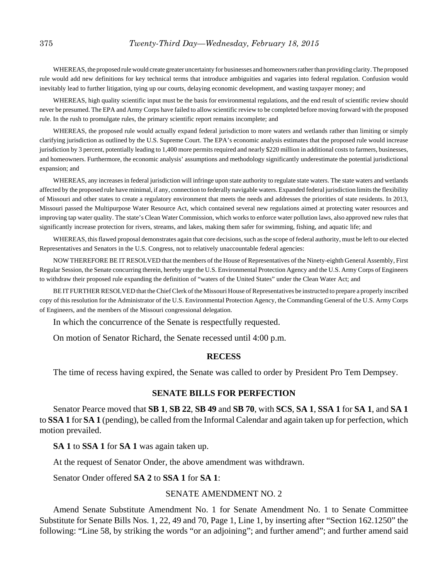WHEREAS, the proposed rule would create greater uncertainty for businesses and homeowners rather than providing clarity. The proposed rule would add new definitions for key technical terms that introduce ambiguities and vagaries into federal regulation. Confusion would inevitably lead to further litigation, tying up our courts, delaying economic development, and wasting taxpayer money; and

WHEREAS, high quality scientific input must be the basis for environmental regulations, and the end result of scientific review should never be presumed. The EPA and Army Corps have failed to allow scientific review to be completed before moving forward with the proposed rule. In the rush to promulgate rules, the primary scientific report remains incomplete; and

WHEREAS, the proposed rule would actually expand federal jurisdiction to more waters and wetlands rather than limiting or simply clarifying jurisdiction as outlined by the U.S. Supreme Court. The EPA's economic analysis estimates that the proposed rule would increase jurisdiction by 3 percent, potentially leading to 1,400 more permits required and nearly \$220 million in additional costs to farmers, businesses, and homeowners. Furthermore, the economic analysis' assumptions and methodology significantly underestimate the potential jurisdictional expansion; and

WHEREAS, any increases in federal jurisdiction will infringe upon state authority to regulate state waters. The state waters and wetlands affected by the proposed rule have minimal, if any, connection to federally navigable waters. Expanded federal jurisdiction limits the flexibility of Missouri and other states to create a regulatory environment that meets the needs and addresses the priorities of state residents. In 2013, Missouri passed the Multipurpose Water Resource Act, which contained several new regulations aimed at protecting water resources and improving tap water quality. The state's Clean Water Commission, which works to enforce water pollution laws, also approved new rules that significantly increase protection for rivers, streams, and lakes, making them safer for swimming, fishing, and aquatic life; and

WHEREAS, this flawed proposal demonstrates again that core decisions, such as the scope of federal authority, must be left to our elected Representatives and Senators in the U.S. Congress, not to relatively unaccountable federal agencies:

NOW THEREFORE BE IT RESOLVED that the members of the House of Representatives of the Ninety-eighth General Assembly, First Regular Session, the Senate concurring therein, hereby urge the U.S. Environmental Protection Agency and the U.S. Army Corps of Engineers to withdraw their proposed rule expanding the definition of "waters of the United States" under the Clean Water Act; and

BE IT FURTHER RESOLVED that the Chief Clerk of the Missouri House of Representatives be instructed to prepare a properly inscribed copy of this resolution for the Administrator of the U.S. Environmental Protection Agency, the Commanding General of the U.S. Army Corps of Engineers, and the members of the Missouri congressional delegation.

In which the concurrence of the Senate is respectfully requested.

On motion of Senator Richard, the Senate recessed until 4:00 p.m.

#### **RECESS**

The time of recess having expired, the Senate was called to order by President Pro Tem Dempsey.

#### **SENATE BILLS FOR PERFECTION**

Senator Pearce moved that **SB 1**, **SB 22**, **SB 49** and **SB 70**, with **SCS**, **SA 1**, **SSA 1** for **SA 1**, and **SA 1** to **SSA 1** for **SA 1** (pending), be called from the Informal Calendar and again taken up for perfection, which motion prevailed.

**SA 1** to **SSA 1** for **SA 1** was again taken up.

At the request of Senator Onder, the above amendment was withdrawn.

Senator Onder offered **SA 2** to **SSA 1** for **SA 1**:

#### SENATE AMENDMENT NO. 2

Amend Senate Substitute Amendment No. 1 for Senate Amendment No. 1 to Senate Committee Substitute for Senate Bills Nos. 1, 22, 49 and 70, Page 1, Line 1, by inserting after "Section 162.1250" the following: "Line 58, by striking the words "or an adjoining"; and further amend"; and further amend said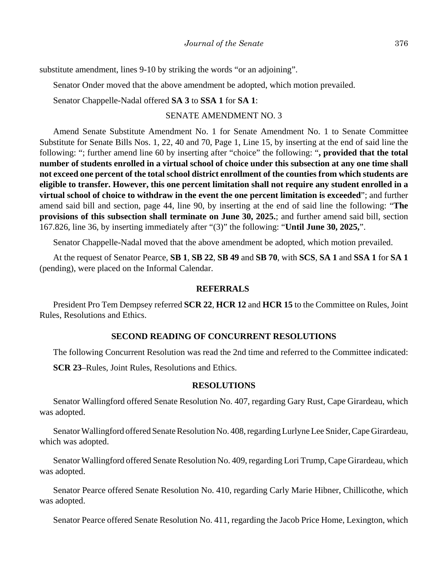substitute amendment, lines 9-10 by striking the words "or an adjoining".

Senator Onder moved that the above amendment be adopted, which motion prevailed.

Senator Chappelle-Nadal offered **SA 3** to **SSA 1** for **SA 1**:

#### SENATE AMENDMENT NO. 3

Amend Senate Substitute Amendment No. 1 for Senate Amendment No. 1 to Senate Committee Substitute for Senate Bills Nos. 1, 22, 40 and 70, Page 1, Line 15, by inserting at the end of said line the following: "; further amend line 60 by inserting after "choice" the following: "**, provided that the total number of students enrolled in a virtual school of choice under this subsection at any one time shall not exceed one percent of the total school district enrollment of the counties from which students are eligible to transfer. However, this one percent limitation shall not require any student enrolled in a virtual school of choice to withdraw in the event the one percent limitation is exceeded**"; and further amend said bill and section, page 44, line 90, by inserting at the end of said line the following: "**The provisions of this subsection shall terminate on June 30, 2025.**; and further amend said bill, section 167.826, line 36, by inserting immediately after "(3)" the following: "**Until June 30, 2025,**".

Senator Chappelle-Nadal moved that the above amendment be adopted, which motion prevailed.

At the request of Senator Pearce, **SB 1**, **SB 22**, **SB 49** and **SB 70**, with **SCS**, **SA 1** and **SSA 1** for **SA 1** (pending), were placed on the Informal Calendar.

#### **REFERRALS**

President Pro Tem Dempsey referred **SCR 22**, **HCR 12** and **HCR 15** to the Committee on Rules, Joint Rules, Resolutions and Ethics.

#### **SECOND READING OF CONCURRENT RESOLUTIONS**

The following Concurrent Resolution was read the 2nd time and referred to the Committee indicated:

**SCR 23**–Rules, Joint Rules, Resolutions and Ethics.

#### **RESOLUTIONS**

Senator Wallingford offered Senate Resolution No. 407, regarding Gary Rust, Cape Girardeau, which was adopted.

Senator Wallingford offered Senate Resolution No. 408, regarding Lurlyne Lee Snider, Cape Girardeau, which was adopted.

Senator Wallingford offered Senate Resolution No. 409, regarding Lori Trump, Cape Girardeau, which was adopted.

Senator Pearce offered Senate Resolution No. 410, regarding Carly Marie Hibner, Chillicothe, which was adopted.

Senator Pearce offered Senate Resolution No. 411, regarding the Jacob Price Home, Lexington, which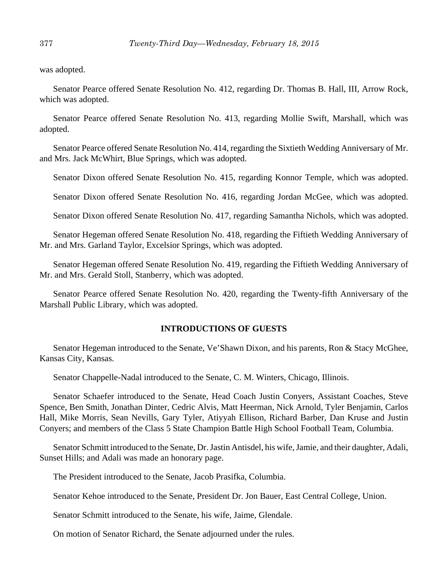was adopted.

Senator Pearce offered Senate Resolution No. 412, regarding Dr. Thomas B. Hall, III, Arrow Rock, which was adopted.

Senator Pearce offered Senate Resolution No. 413, regarding Mollie Swift, Marshall, which was adopted.

Senator Pearce offered Senate Resolution No. 414, regarding the Sixtieth Wedding Anniversary of Mr. and Mrs. Jack McWhirt, Blue Springs, which was adopted.

Senator Dixon offered Senate Resolution No. 415, regarding Konnor Temple, which was adopted.

Senator Dixon offered Senate Resolution No. 416, regarding Jordan McGee, which was adopted.

Senator Dixon offered Senate Resolution No. 417, regarding Samantha Nichols, which was adopted.

Senator Hegeman offered Senate Resolution No. 418, regarding the Fiftieth Wedding Anniversary of Mr. and Mrs. Garland Taylor, Excelsior Springs, which was adopted.

Senator Hegeman offered Senate Resolution No. 419, regarding the Fiftieth Wedding Anniversary of Mr. and Mrs. Gerald Stoll, Stanberry, which was adopted.

Senator Pearce offered Senate Resolution No. 420, regarding the Twenty-fifth Anniversary of the Marshall Public Library, which was adopted.

#### **INTRODUCTIONS OF GUESTS**

Senator Hegeman introduced to the Senate, Ve'Shawn Dixon, and his parents, Ron & Stacy McGhee, Kansas City, Kansas.

Senator Chappelle-Nadal introduced to the Senate, C. M. Winters, Chicago, Illinois.

Senator Schaefer introduced to the Senate, Head Coach Justin Conyers, Assistant Coaches, Steve Spence, Ben Smith, Jonathan Dinter, Cedric Alvis, Matt Heerman, Nick Arnold, Tyler Benjamin, Carlos Hall, Mike Morris, Sean Nevills, Gary Tyler, Atiyyah Ellison, Richard Barber, Dan Kruse and Justin Conyers; and members of the Class 5 State Champion Battle High School Football Team, Columbia.

Senator Schmitt introduced to the Senate, Dr. Jastin Antisdel, his wife, Jamie, and their daughter, Adali, Sunset Hills; and Adali was made an honorary page.

The President introduced to the Senate, Jacob Prasifka, Columbia.

Senator Kehoe introduced to the Senate, President Dr. Jon Bauer, East Central College, Union.

Senator Schmitt introduced to the Senate, his wife, Jaime, Glendale.

On motion of Senator Richard, the Senate adjourned under the rules.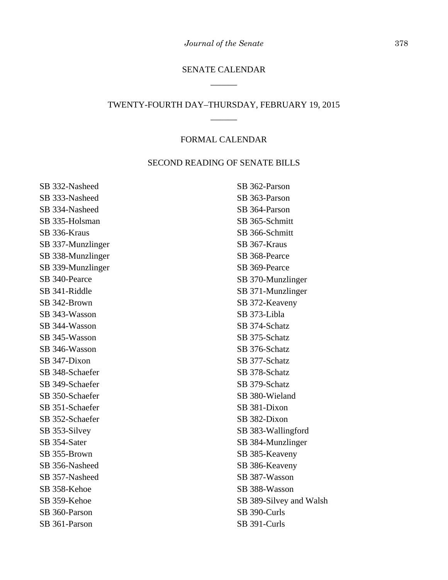# SENATE CALENDAR \_\_\_\_\_\_

# TWENTY-FOURTH DAY–THURSDAY, FEBRUARY 19, 2015 \_\_\_\_\_\_

#### FORMAL CALENDAR

#### SECOND READING OF SENATE BILLS

SB 332-Nasheed SB 333-Nasheed SB 334-Nasheed SB 335-Holsman SB 336-Kraus SB 337-Munzlinger SB 338-Munzlinger SB 339-Munzlinger SB 340-Pearce SB 341-Riddle SB 342-Brown SB 343-Wasson SB 344-Wasson SB 345-Wasson SB 346-Wasson SB 347-Dixon SB 348-Schaefer SB 349-Schaefer SB 350-Schaefer SB 351-Schaefer SB 352-Schaefer SB 353-Silvey SB 354-Sater SB 355-Brown SB 356-Nasheed SB 357-Nasheed SB 358-Kehoe SB 359-Kehoe SB 360-Parson SB 361-Parson

SB 362-Parson SB 363-Parson SB 364-Parson SB 365-Schmitt SB 366-Schmitt SB 367-Kraus SB 368-Pearce SB 369-Pearce SB 370-Munzlinger SB 371-Munzlinger SB 372-Keaveny SB 373-Libla SB 374-Schatz SB 375-Schatz SB 376-Schatz SB 377-Schatz SB 378-Schatz SB 379-Schatz SB 380-Wieland SB 381-Dixon SB 382-Dixon SB 383-Wallingford SB 384-Munzlinger SB 385-Keaveny SB 386-Keaveny SB 387-Wasson SB 388-Wasson SB 389-Silvey and Walsh SB 390-Curls SB 391-Curls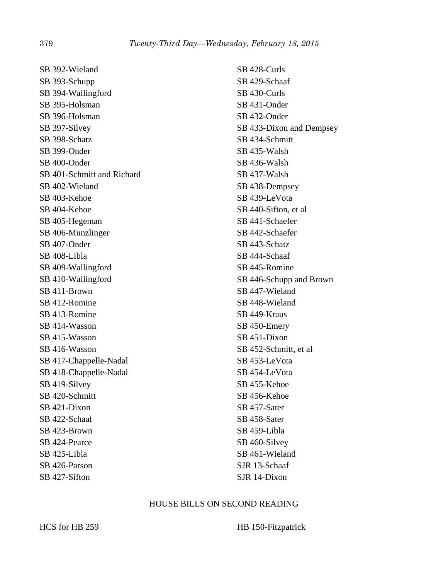SB 392-Wieland SB 393-Schupp SB 394-Wallingford SB 395-Holsman SB 396-Holsman SB 397-Silvey SB 398-Schatz SB 399-Onder SB 400-Onder SB 401-Schmitt and Richard SB 402-Wieland SB 403-Kehoe SB 404-Kehoe SB 405-Hegeman SB 406-Munzlinger SB 407-Onder SB 408-Libla SB 409-Wallingford SB 410-Wallingford SB 411-Brown SB 412-Romine SB 413-Romine SB 414-Wasson SB 415-Wasson SB 416-Wasson SB 417-Chappelle-Nadal SB 418-Chappelle-Nadal SB 419-Silvey SB 420-Schmitt SB 421-Dixon SB 422-Schaaf SB 423-Brown SB 424-Pearce SB 425-Libla SB 426-Parson SB 427-Sifton

SB 428-Curls SB 429-Schaaf SB 430-Curls SB 431-Onder SB 432-Onder SB 433-Dixon and Dempsey SB 434-Schmitt SB 435-Walsh SB 436-Walsh SB 437-Walsh SB 438-Dempsey SB 439-LeVota SB 440-Sifton, et al SB 441-Schaefer SB 442-Schaefer SB 443-Schatz SB 444-Schaaf SB 445-Romine SB 446-Schupp and Brown SB 447-Wieland SB 448-Wieland SB 449-Kraus SB 450-Emery SB 451-Dixon SB 452-Schmitt, et al SB 453-LeVota SB 454-LeVota SB 455-Kehoe SB 456-Kehoe SB 457-Sater SB 458-Sater SB 459-Libla SB 460-Silvey SB 461-Wieland SJR 13-Schaaf SJR 14-Dixon

#### HOUSE BILLS ON SECOND READING

HCS for HB 259 HB 150-Fitzpatrick